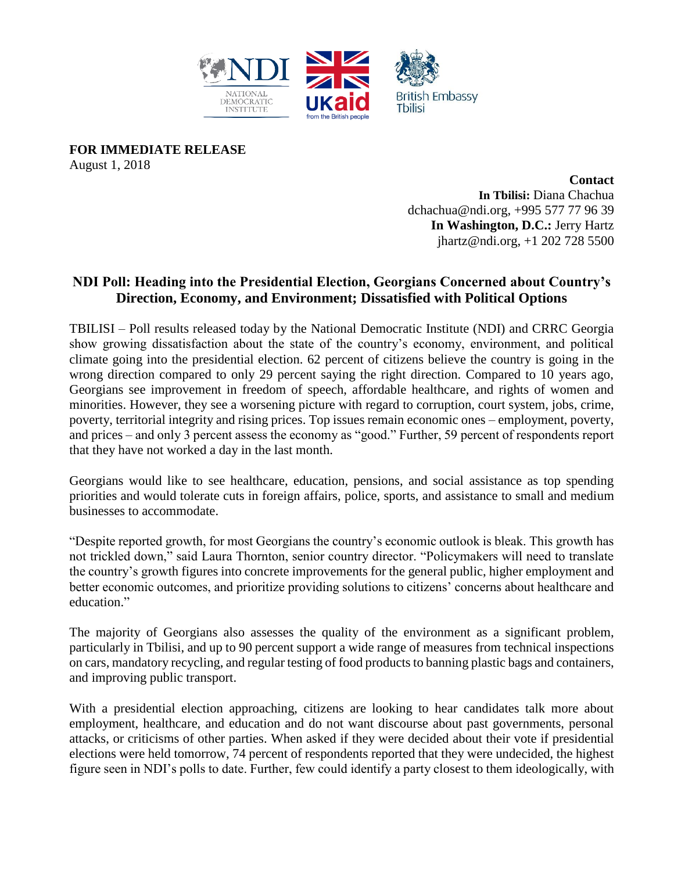

**FOR IMMEDIATE RELEASE** August 1, 2018

> **Contact In Tbilisi:** Diana Chachua dchachua@ndi.or[g,](mailto:dchachua@ndi.org) +995 577 77 96 39 **In Washington, D.C.:** Jerry Hartz jhartz@ndi.org, +1 202 728 5500

## **NDI Poll: Heading into the Presidential Election, Georgians Concerned about Country's Direction, Economy, and Environment; Dissatisfied with Political Options**

TBILISI – Poll results released today by the National Democratic Institute (NDI) and CRRC Georgia show growing dissatisfaction about the state of the country's economy, environment, and political climate going into the presidential election. 62 percent of citizens believe the country is going in the wrong direction compared to only 29 percent saying the right direction. Compared to 10 years ago, Georgians see improvement in freedom of speech, affordable healthcare, and rights of women and minorities. However, they see a worsening picture with regard to corruption, court system, jobs, crime, poverty, territorial integrity and rising prices. Top issues remain economic ones – employment, poverty, and prices – and only 3 percent assess the economy as "good." Further, 59 percent of respondents report that they have not worked a day in the last month.

Georgians would like to see healthcare, education, pensions, and social assistance as top spending priorities and would tolerate cuts in foreign affairs, police, sports, and assistance to small and medium businesses to accommodate.

"Despite reported growth, for most Georgians the country's economic outlook is bleak. This growth has not trickled down," said Laura Thornton, senior country director. "Policymakers will need to translate the country's growth figures into concrete improvements for the general public, higher employment and better economic outcomes, and prioritize providing solutions to citizens' concerns about healthcare and education."

The majority of Georgians also assesses the quality of the environment as a significant problem, particularly in Tbilisi, and up to 90 percent support a wide range of measures from technical inspections on cars, mandatory recycling, and regular testing of food products to banning plastic bags and containers, and improving public transport.

With a presidential election approaching, citizens are looking to hear candidates talk more about employment, healthcare, and education and do not want discourse about past governments, personal attacks, or criticisms of other parties. When asked if they were decided about their vote if presidential elections were held tomorrow, 74 percent of respondents reported that they were undecided, the highest figure seen in NDI's polls to date. Further, few could identify a party closest to them ideologically, with